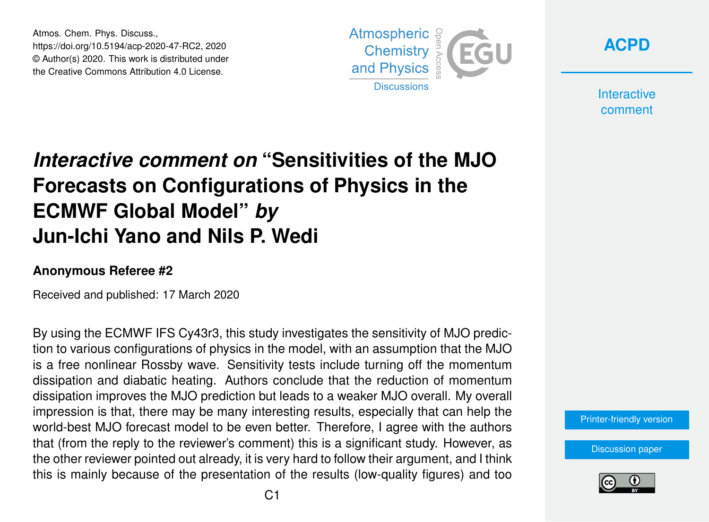Atmos. Chem. Phys. Discuss., https://doi.org/10.5194/acp-2020-47-RC2, 2020 © Author(s) 2020. This work is distributed under the Creative Commons Attribution 4.0 License.





**Interactive** comment

## *Interactive comment on* **"Sensitivities of the MJO Forecasts on Configurations of Physics in the ECMWF Global Model"** *by* **Jun-Ichi Yano and Nils P. Wedi**

## **Anonymous Referee #2**

Received and published: 17 March 2020

By using the ECMWF IFS Cy43r3, this study investigates the sensitivity of MJO prediction to various configurations of physics in the model, with an assumption that the MJO is a free nonlinear Rossby wave. Sensitivity tests include turning off the momentum dissipation and diabatic heating. Authors conclude that the reduction of momentum dissipation improves the MJO prediction but leads to a weaker MJO overall. My overall impression is that, there may be many interesting results, especially that can help the world-best MJO forecast model to be even better. Therefore, I agree with the authors that (from the reply to the reviewer's comment) this is a significant study. However, as the other reviewer pointed out already, it is very hard to follow their argument, and I think this is mainly because of the presentation of the results (low-quality figures) and too

[Printer-friendly version](https://www.atmos-chem-phys-discuss.net/acp-2020-47/acp-2020-47-RC2-print.pdf)

[Discussion paper](https://www.atmos-chem-phys-discuss.net/acp-2020-47)